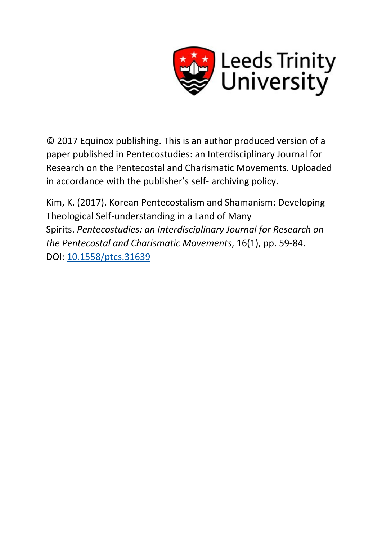

© 2017 Equinox publishing. This is an author produced version of a paper published in Pentecostudies: an Interdisciplinary Journal for Research on the Pentecostal and Charismatic Movements. Uploaded in accordance with the publisher's self- archiving policy.

Kim, K. (2017). Korean Pentecostalism and Shamanism: Developing Theological Self-understanding in a Land of Many Spirits. *Pentecostudies: an Interdisciplinary Journal for Research on the Pentecostal and Charismatic Movements*, 16(1), pp. 59-84. DOI: [10.1558/ptcs.31639](http://dx.doi.org/10.1558/ptcs.31639)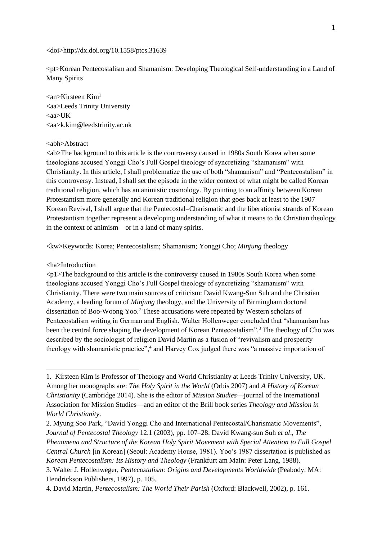### <doi>http://dx.doi.org/10.1558/ptcs.31639

<pt>Korean Pentecostalism and Shamanism: Developing Theological Self-understanding in a Land of Many Spirits

 $\langle$ an>Kirsteen Kim<sup>1</sup> <aa>Leeds Trinity University <aa>UK <aa>k.kim@leedstrinity.ac.uk

### <abh>Abstract

<ab>The background to this article is the controversy caused in 1980s South Korea when some theologians accused Yonggi Cho's Full Gospel theology of syncretizing "shamanism" with Christianity. In this article, I shall problematize the use of both "shamanism" and "Pentecostalism" in this controversy. Instead, I shall set the episode in the wider context of what might be called Korean traditional religion, which has an animistic cosmology. By pointing to an affinity between Korean Protestantism more generally and Korean traditional religion that goes back at least to the 1907 Korean Revival, I shall argue that the Pentecostal–Charismatic and the liberationist strands of Korean Protestantism together represent a developing understanding of what it means to do Christian theology in the context of animism – or in a land of many spirits.

<kw>Keywords: Korea; Pentecostalism; Shamanism; Yonggi Cho; *Minjung* theology

## <ha>Introduction

<u>.</u>

<p1>The background to this article is the controversy caused in 1980s South Korea when some theologians accused Yonggi Cho's Full Gospel theology of syncretizing "shamanism" with Christianity. There were two main sources of criticism: David Kwang-Sun Suh and the Christian Academy, a leading forum of *Minjung* theology, and the University of Birmingham doctoral dissertation of Boo-Woong Yoo.<sup>2</sup> These accusations were repeated by Western scholars of Pentecostalism writing in German and English. Walter Hollenweger concluded that "shamanism has been the central force shaping the development of Korean Pentecostalism".<sup>3</sup> The theology of Cho was described by the sociologist of religion David Martin as a fusion of "revivalism and prosperity theology with shamanistic practice",<sup>4</sup> and Harvey Cox judged there was "a massive importation of

<sup>1.</sup> Kirsteen Kim is Professor of Theology and World Christianity at Leeds Trinity University, UK. Among her monographs are: *The Holy Spirit in the World* (Orbis 2007) and *A History of Korean Christianity* (Cambridge 2014). She is the editor of *Mission Studies*—journal of the International Association for Mission Studies—and an editor of the Brill book series *Theology and Mission in World Christianity*.

<sup>2.</sup> Myung Soo Park, "David Yonggi Cho and International Pentecostal/Charismatic Movements", *Journal of Pentecostal Theology* 12.1 (2003), pp. 107–28. David Kwang-sun Suh *et al*., *The Phenomena and Structure of the Korean Holy Spirit Movement with Special Attention to Full Gospel Central Church* [in Korean] (Seoul: Academy House, 1981). Yoo's 1987 dissertation is published as

*Korean Pentecostalism: Its History and Theology* (Frankfurt am Main: Peter Lang, 1988). 3. Walter J. Hollenweger, *Pentecostalism: Origins and Developments Worldwide* (Peabody, MA:

Hendrickson Publishers, 1997), p. 105.

<sup>4.</sup> David Martin, *Pentecostalism: The World Their Parish* (Oxford: Blackwell, 2002), p. 161.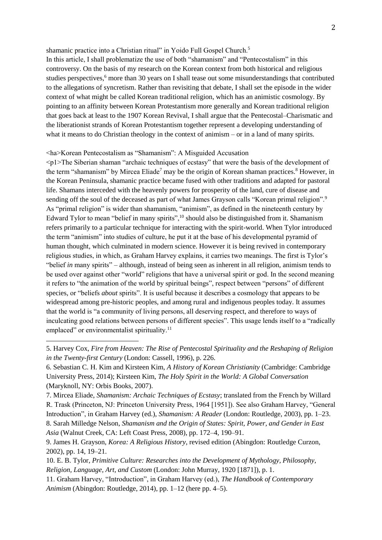## shamanic practice into a Christian ritual" in Yoido Full Gospel Church.<sup>5</sup>

In this article, I shall problematize the use of both "shamanism" and "Pentecostalism" in this controversy. On the basis of my research on the Korean context from both historical and religious studies perspectives,<sup>6</sup> more than 30 years on I shall tease out some misunderstandings that contributed to the allegations of syncretism. Rather than revisiting that debate, I shall set the episode in the wider context of what might be called Korean traditional religion, which has an animistic cosmology. By pointing to an affinity between Korean Protestantism more generally and Korean traditional religion that goes back at least to the 1907 Korean Revival, I shall argue that the Pentecostal–Charismatic and the liberationist strands of Korean Protestantism together represent a developing understanding of what it means to do Christian theology in the context of animism – or in a land of many spirits.

# <ha>Korean Pentecostalism as "Shamanism": A Misguided Accusation

<u>.</u>

<p1>The Siberian shaman "archaic techniques of ecstasy" that were the basis of the development of the term "shamanism" by Mircea Eliade<sup>7</sup> may be the origin of Korean shaman practices.<sup>8</sup> However, in the Korean Peninsula, shamanic practice became fused with other traditions and adapted for pastoral life. Shamans interceded with the heavenly powers for prosperity of the land, cure of disease and sending off the soul of the deceased as part of what James Grayson calls "Korean primal religion".<sup>9</sup> As "primal religion" is wider than shamanism, "animism", as defined in the nineteenth century by Edward Tylor to mean "belief in many spirits",<sup>10</sup> should also be distinguished from it. Shamanism refers primarily to a particular technique for interacting with the spirit-world. When Tylor introduced the term "animism" into studies of culture, he put it at the base of his developmental pyramid of human thought, which culminated in modern science. However it is being revived in contemporary religious studies, in which, as Graham Harvey explains, it carries two meanings. The first is Tylor's "belief *in* many spirits" – although, instead of being seen as inherent in all religion, animism tends to be used over against other "world" religions that have a universal spirit or god. In the second meaning it refers to "the animation of the world by spiritual beings", respect between "persons" of different species, or "beliefs *about* spirits". It is useful because it describes a cosmology that appears to be widespread among pre-historic peoples, and among rural and indigenous peoples today. It assumes that the world is "a community of living persons, all deserving respect, and therefore to ways of inculcating good relations between persons of different species". This usage lends itself to a "radically emplaced" or environmentalist spirituality.<sup>11</sup>

<sup>5.</sup> Harvey Cox, *Fire from Heaven: The Rise of Pentecostal Spirituality and the Reshaping of Religion in the Twenty-first Century* (London: Cassell, 1996), p. 226.

<sup>6.</sup> Sebastian C. H. Kim and Kirsteen Kim, *A History of Korean Christianity* (Cambridge: Cambridge University Press, 2014); Kirsteen Kim, *The Holy Spirit in the World: A Global Conversation* (Maryknoll, NY: Orbis Books, 2007).

<sup>7.</sup> Mircea Eliade, *Shamanism: Archaic Techniques of Ecstasy*; translated from the French by Willard R. Trask (Princeton, NJ: Princeton University Press, 1964 [1951]). See also Graham Harvey, "General Introduction", in Graham Harvey (ed.), *Shamanism: A Reader* (London: Routledge, 2003), pp. 1–23. 8. Sarah Milledge Nelson, *Shamanism and the Origin of States: Spirit, Power, and Gender in East Asia* (Walnut Creek, CA: Left Coast Press, 2008), pp. 172–4, 190–91.

<sup>9.</sup> James H. Grayson, *Korea: A Religious History*, revised edition (Abingdon: Routledge Curzon, 2002), pp. 14, 19–21.

<sup>10.</sup> E. B. Tylor, *Primitive Culture: Researches into the Development of Mythology, Philosophy, Religion, Language, Art, and Custom* (London: John Murray, 1920 [1871]), p. 1.

<sup>11.</sup> Graham Harvey, "Introduction", in Graham Harvey (ed.), *The Handbook of Contemporary Animism* (Abingdon: Routledge, 2014), pp. 1–12 (here pp. 4–5).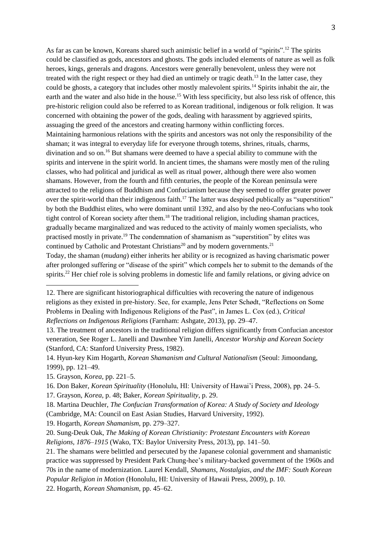As far as can be known, Koreans shared such animistic belief in a world of "spirits".<sup>12</sup> The spirits could be classified as gods, ancestors and ghosts. The gods included elements of nature as well as folk heroes, kings, generals and dragons. Ancestors were generally benevolent, unless they were not treated with the right respect or they had died an untimely or tragic death.<sup>13</sup> In the latter case, they could be ghosts, a category that includes other mostly malevolent spirits.<sup>14</sup> Spirits inhabit the air, the earth and the water and also hide in the house.<sup>15</sup> With less specificity, but also less risk of offence, this pre-historic religion could also be referred to as Korean traditional, indigenous or folk religion. It was concerned with obtaining the power of the gods, dealing with harassment by aggrieved spirits, assuaging the greed of the ancestors and creating harmony within conflicting forces. Maintaining harmonious relations with the spirits and ancestors was not only the responsibility of the shaman; it was integral to everyday life for everyone through totems, shrines, rituals, charms, divination and so on.<sup>16</sup> But shamans were deemed to have a special ability to commune with the spirits and intervene in the spirit world. In ancient times, the shamans were mostly men of the ruling classes, who had political and juridical as well as ritual power, although there were also women shamans. However, from the fourth and fifth centuries, the people of the Korean peninsula were attracted to the religions of Buddhism and Confucianism because they seemed to offer greater power over the spirit-world than their indigenous faith.<sup>17</sup> The latter was despised publically as "superstition" by both the Buddhist elites, who were dominant until 1392, and also by the neo-Confucians who took tight control of Korean society after them.<sup>18</sup> The traditional religion, including shaman practices, gradually became marginalized and was reduced to the activity of mainly women specialists, who practised mostly in private.<sup>19</sup> The condemnation of shamanism as "superstition" by elites was continued by Catholic and Protestant Christians<sup>20</sup> and by modern governments.<sup>21</sup> Today, the shaman (*mudang*) either inherits her ability or is recognized as having charismatic power

after prolonged suffering or "disease of the spirit" which compels her to submit to the demands of the spirits.<sup>22</sup> Her chief role is solving problems in domestic life and family relations, or giving advice on

- 19. Hogarth, *Korean Shamanism*, pp. 279–327.
- 20. Sung-Deuk Oak, *The Making of Korean Christianity: Protestant Encounters with Korean Religions, 1876–1915* (Wako, TX: Baylor University Press, 2013), pp. 141–50.

<sup>12.</sup> There are significant historiographical difficulties with recovering the nature of indigenous religions as they existed in pre-history. See, for example, Jens Peter Schødt, "Reflections on Some Problems in Dealing with Indigenous Religions of the Past", in James L. Cox (ed.), *Critical Reflections on Indigenous Religions* (Farnham: Ashgate, 2013), pp. 29–47.

<sup>13.</sup> The treatment of ancestors in the traditional religion differs significantly from Confucian ancestor veneration, See Roger L. Janelli and Dawnhee Yim Janelli, *Ancestor Worship and Korean Society* (Stanford, CA: Stanford University Press, 1982).

<sup>14.</sup> Hyun-key Kim Hogarth, *Korean Shamanism and Cultural Nationalism* (Seoul: Jimoondang, 1999), pp. 121–49.

<sup>15.</sup> Grayson, *Korea*, pp. 221–5.

<sup>16.</sup> Don Baker, *Korean Spirituality* (Honolulu, HI: University of Hawai'i Press, 2008), pp. 24–5.

<sup>17.</sup> Grayson, *Korea*, p. 48; Baker, *Korean Spirituality*, p. 29.

<sup>18.</sup> Martina Deuchler, *The Confucian Transformation of Korea: A Study of Society and Ideology* (Cambridge, MA: Council on East Asian Studies, Harvard University, 1992).

<sup>21.</sup> The shamans were belittled and persecuted by the Japanese colonial government and shamanistic practice was suppressed by President Park Chung-hee's military-backed government of the 1960s and 70s in the name of modernization. Laurel Kendall, *Shamans, Nostalgias, and the IMF: South Korean Popular Religion in Motion* (Honolulu, HI: University of Hawaii Press, 2009), p. 10.

<sup>22.</sup> Hogarth, *Korean Shamanism*, pp. 45–62.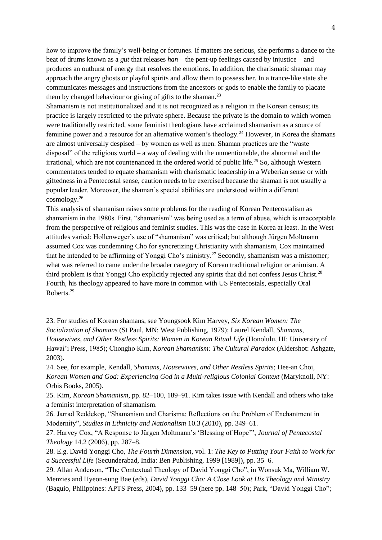how to improve the family's well-being or fortunes. If matters are serious, she performs a dance to the beat of drums known as a *gut* that releases *han* – the pent-up feelings caused by injustice – and produces an outburst of energy that resolves the emotions. In addition, the charismatic shaman may approach the angry ghosts or playful spirits and allow them to possess her. In a trance-like state she communicates messages and instructions from the ancestors or gods to enable the family to placate them by changed behaviour or giving of gifts to the shaman.<sup>23</sup>

Shamanism is not institutionalized and it is not recognized as a religion in the Korean census; its practice is largely restricted to the private sphere. Because the private is the domain to which women were traditionally restricted, some feminist theologians have acclaimed shamanism as a source of feminine power and a resource for an alternative women's theology.<sup>24</sup> However, in Korea the shamans are almost universally despised – by women as well as men. Shaman practices are the "waste disposal" of the religious world – a way of dealing with the unmentionable, the abnormal and the irrational, which are not countenanced in the ordered world of public life.<sup>25</sup> So, although Western commentators tended to equate shamanism with charismatic leadership in a Weberian sense or with giftedness in a Pentecostal sense, caution needs to be exercised because the shaman is not usually a popular leader. Moreover, the shaman's special abilities are understood within a different cosmology.<sup>26</sup>

This analysis of shamanism raises some problems for the reading of Korean Pentecostalism as shamanism in the 1980s. First, "shamanism" was being used as a term of abuse, which is unacceptable from the perspective of religious and feminist studies. This was the case in Korea at least. In the West attitudes varied: Hollenweger's use of "shamanism" was critical; but although Jürgen Moltmann assumed Cox was condemning Cho for syncretizing Christianity with shamanism, Cox maintained that he intended to be affirming of Yonggi Cho's ministry.<sup>27</sup> Secondly, shamanism was a misnomer; what was referred to came under the broader category of Korean traditional religion or animism. A third problem is that Yonggi Cho explicitly rejected any spirits that did not confess Jesus Christ.<sup>28</sup> Fourth, his theology appeared to have more in common with US Pentecostals, especially Oral Roberts.<sup>29</sup>

<sup>23.</sup> For studies of Korean shamans, see Youngsook Kim Harvey, *Six Korean Women: The Socialization of Shamans* (St Paul, MN: West Publishing, 1979); Laurel Kendall, *Shamans, Housewives, and Other Restless Spirits: Women in Korean Ritual Life* (Honolulu, HI: University of Hawai'i Press, 1985); Chongho Kim, *Korean Shamanism: The Cultural Paradox* (Aldershot: Ashgate, 2003).

<sup>24.</sup> See, for example, Kendall, *Shamans, Housewives, and Other Restless Spirits*; Hee-an Choi, *Korean Women and God: Experiencing God in a Multi-religious Colonial Context* (Maryknoll, NY: Orbis Books, 2005).

<sup>25.</sup> Kim, *Korean Shamanism*, pp. 82–100, 189–91. Kim takes issue with Kendall and others who take a feminist interpretation of shamanism.

<sup>26.</sup> Jarrad Reddekop, "Shamanism and Charisma: Reflections on the Problem of Enchantment in Modernity", *Studies in Ethnicity and Nationalism* 10.3 (2010), pp. 349–61.

<sup>27.</sup> Harvey Cox, "A Response to Jürgen Moltmann's 'Blessing of Hope'", *Journal of Pentecostal Theology* 14.2 (2006), pp. 287–8.

<sup>28.</sup> E.g. David Yonggi Cho, *The Fourth Dimension*, vol. 1: *The Key to Putting Your Faith to Work for a Successful Life* (Secunderabad, India: Ben Publishing, 1999 [1989]), pp. 35–6.

<sup>29.</sup> Allan Anderson, "The Contextual Theology of David Yonggi Cho", in Wonsuk Ma, William W. Menzies and Hyeon-sung Bae (eds), *David Yonggi Cho: A Close Look at His Theology and Ministry* (Baguio, Philippines: APTS Press, 2004), pp. 133–59 (here pp. 148–50); Park, "David Yonggi Cho";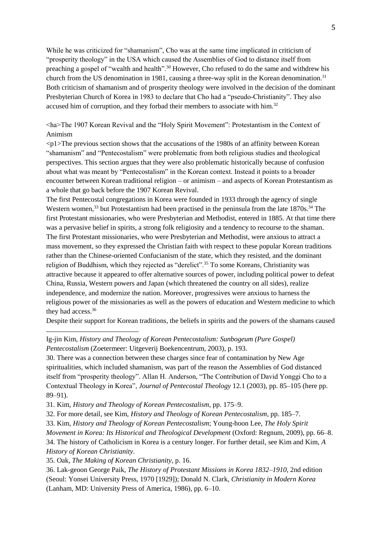While he was criticized for "shamanism", Cho was at the same time implicated in criticism of "prosperity theology" in the USA which caused the Assemblies of God to distance itself from preaching a gospel of "wealth and health".<sup>30</sup> However, Cho refused to do the same and withdrew his church from the US denomination in 1981, causing a three-way split in the Korean denomination.<sup>31</sup> Both criticism of shamanism and of prosperity theology were involved in the decision of the dominant Presbyterian Church of Korea in 1983 to declare that Cho had a "pseudo-Christianity". They also accused him of corruption, and they forbad their members to associate with him.<sup>32</sup>

<ha>The 1907 Korean Revival and the "Holy Spirit Movement": Protestantism in the Context of Animism

 $\langle p_1 \rangle$ The previous section shows that the accusations of the 1980s of an affinity between Korean "shamanism" and "Pentecostalism" were problematic from both religious studies and theological perspectives. This section argues that they were also problematic historically because of confusion about what was meant by "Pentecostalism" in the Korean context. Instead it points to a broader encounter between Korean traditional religion – or animism – and aspects of Korean Protestantism as a whole that go back before the 1907 Korean Revival.

The first Pentecostal congregations in Korea were founded in 1933 through the agency of single Western women,<sup>33</sup> but Protestantism had been practised in the peninsula from the late 1870s.<sup>34</sup> The first Protestant missionaries, who were Presbyterian and Methodist, entered in 1885. At that time there was a pervasive belief in spirits, a strong folk religiosity and a tendency to recourse to the shaman. The first Protestant missionaries, who were Presbyterian and Methodist, were anxious to attract a mass movement, so they expressed the Christian faith with respect to these popular Korean traditions rather than the Chinese-oriented Confucianism of the state, which they resisted, and the dominant religion of Buddhism, which they rejected as "derelict".<sup>35</sup> To some Koreans, Christianity was attractive because it appeared to offer alternative sources of power, including political power to defeat China, Russia, Western powers and Japan (which threatened the country on all sides), realize independence, and modernize the nation. Moreover, progressives were anxious to harness the religious power of the missionaries as well as the powers of education and Western medicine to which they had access.<sup>36</sup>

Despite their support for Korean traditions, the beliefs in spirits and the powers of the shamans caused

Ig-jin Kim, *History and Theology of Korean Pentecostalism: Sunbogeum (Pure Gospel) Pentecostalism* (Zoetermeer: Uitgeverij Boekencentrum, 2003), p. 193.

30. There was a connection between these charges since fear of contamination by New Age spiritualities, which included shamanism, was part of the reason the Assemblies of God distanced itself from "prosperity theology". Allan H. Anderson, "The Contribution of David Yonggi Cho to a Contextual Theology in Korea", *Journal of Pentecostal Theology* 12.1 (2003), pp. 85–105 (here pp. 89–91).

31. Kim, *History and Theology of Korean Pentecostalism*, pp. 175–9.

32. For more detail, see Kim, *History and Theology of Korean Pentecostalism*, pp. 185–7.

33. Kim, *History and Theology of Korean Pentecostalism*; Young-hoon Lee, *The Holy Spirit* 

*Movement in Korea: Its Historical and Theological Development* (Oxford: Regnum, 2009), pp. 66–8.

34. The history of Catholicism in Korea is a century longer. For further detail, see Kim and Kim, *A History of Korean Christianity*.

35. Oak, *The Making of Korean Christianity*, p. 16.

<u>.</u>

36. Lak-geoon George Paik, *The History of Protestant Missions in Korea 1832–1910*, 2nd edition (Seoul: Yonsei University Press, 1970 [1929]); Donald N. Clark, *Christianity in Modern Korea* (Lanham, MD: University Press of America, 1986), pp. 6–10.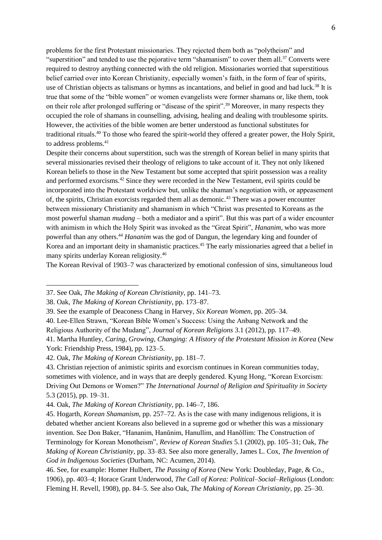problems for the first Protestant missionaries. They rejected them both as "polytheism" and "superstition" and tended to use the pejorative term "shamanism" to cover them all.<sup>37</sup> Converts were required to destroy anything connected with the old religion. Missionaries worried that superstitious belief carried over into Korean Christianity, especially women's faith, in the form of fear of spirits, use of Christian objects as talismans or hymns as incantations, and belief in good and bad luck.<sup>38</sup> It is true that some of the "bible women" or women evangelists were former shamans or, like them, took on their role after prolonged suffering or "disease of the spirit".<sup>39</sup> Moreover, in many respects they occupied the role of shamans in counselling, advising, healing and dealing with troublesome spirits. However, the activities of the bible women are better understood as functional substitutes for traditional rituals.<sup>40</sup> To those who feared the spirit-world they offered a greater power, the Holy Spirit, to address problems.<sup>41</sup>

Despite their concerns about superstition, such was the strength of Korean belief in many spirits that several missionaries revised their theology of religions to take account of it. They not only likened Korean beliefs to those in the New Testament but some accepted that spirit possession was a reality and performed exorcisms.<sup>42</sup> Since they were recorded in the New Testament, evil spirits could be incorporated into the Protestant worldview but, unlike the shaman's negotiation with, or appeasement of, the spirits, Christian exorcists regarded them all as demonic.<sup>43</sup> There was a power encounter between missionary Christianity and shamanism in which "Christ was presented to Koreans as the most powerful shaman *mudang* – both a mediator and a spirit". But this was part of a wider encounter with animism in which the Holy Spirit was invoked as the "Great Spirit", *Hananim*, who was more powerful than any others.<sup>44</sup> *Hananim* was the god of Dangun, the legendary king and founder of Korea and an important deity in shamanistic practices.<sup>45</sup> The early missionaries agreed that a belief in many spirits underlay Korean religiosity.<sup>46</sup>

The Korean Revival of 1903–7 was characterized by emotional confession of sins, simultaneous loud

<sup>37.</sup> See Oak, *The Making of Korean Christianity*, pp. 141–73.

<sup>38.</sup> Oak, *The Making of Korean Christianity*, pp. 173–87.

<sup>39.</sup> See the example of Deaconess Chang in Harvey, *Six Korean Women*, pp. 205–34.

<sup>40.</sup> Lee-Ellen Strawn, "Korean Bible Women's Success: Using the Anbang Network and the Religious Authority of the Mudang", *Journal of Korean Religions* 3.1 (2012), pp. 117–49.

<sup>41.</sup> Martha Huntley, *Caring, Growing, Changing: A History of the Protestant Mission in Korea* (New York: Friendship Press, 1984), pp. 123–5.

<sup>42.</sup> Oak, *The Making of Korean Christianity*, pp. 181–7.

<sup>43.</sup> Christian rejection of animistic spirits and exorcism continues in Korean communities today, sometimes with violence, and in ways that are deeply gendered. Kyung Hong, "Korean Exorcism: Driving Out Demons or Women?" *The International Journal of Religion and Spirituality in Society* 5.3 (2015), pp. 19–31.

<sup>44.</sup> Oak, *The Making of Korean Christianity*, pp. 146–7, 186.

<sup>45.</sup> Hogarth, *Korean Shamanism*, pp. 257–72. As is the case with many indigenous religions, it is debated whether ancient Koreans also believed in a supreme god or whether this was a missionary invention. See Don Baker, "Hananim, Hanŭnim, Hanullim, and Hanŏllim: The Construction of Terminology for Korean Monotheism", *Review of Korean Studies* 5.1 (2002), pp. 105–31; Oak, *The Making of Korean Christianity*, pp. 33–83. See also more generally, James L. Cox, *The Invention of God in Indigenous Societies* (Durham, NC: Acumen, 2014).

<sup>46.</sup> See, for example: Homer Hulbert, *The Passing of Korea* (New York: Doubleday, Page, & Co., 1906), pp. 403–4; Horace Grant Underwood, *The Call of Korea: Political–Social–Religious* (London: Fleming H. Revell, 1908), pp. 84–5. See also Oak, *The Making of Korean Christianity*, pp. 25–30.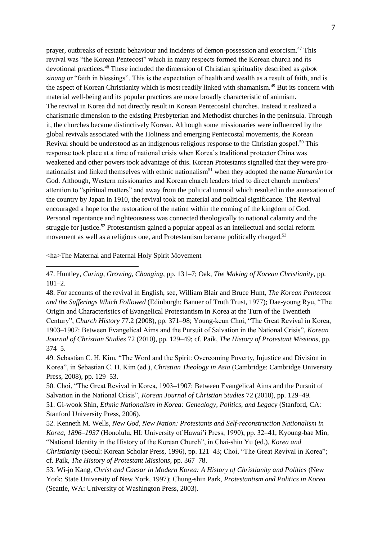prayer, outbreaks of ecstatic behaviour and incidents of demon-possession and exorcism.<sup>47</sup> This revival was "the Korean Pentecost" which in many respects formed the Korean church and its devotional practices.<sup>48</sup> These included the dimension of Christian spirituality described as *gibok sinang* or "faith in blessings". This is the expectation of health and wealth as a result of faith, and is the aspect of Korean Christianity which is most readily linked with shamanism.<sup>49</sup> But its concern with material well-being and its popular practices are more broadly characteristic of animism. The revival in Korea did not directly result in Korean Pentecostal churches. Instead it realized a charismatic dimension to the existing Presbyterian and Methodist churches in the peninsula. Through it, the churches became distinctively Korean. Although some missionaries were influenced by the global revivals associated with the Holiness and emerging Pentecostal movements, the Korean Revival should be understood as an indigenous religious response to the Christian gospel.<sup>50</sup> This response took place at a time of national crisis when Korea's traditional protector China was weakened and other powers took advantage of this. Korean Protestants signalled that they were pronationalist and linked themselves with ethnic nationalism<sup>51</sup> when they adopted the name *Hananim* for God. Although, Western missionaries and Korean church leaders tried to direct church members' attention to "spiritual matters" and away from the political turmoil which resulted in the annexation of the country by Japan in 1910, the revival took on material and political significance. The Revival encouraged a hope for the restoration of the nation within the coming of the kingdom of God. Personal repentance and righteousness was connected theologically to national calamity and the struggle for justice.<sup>52</sup> Protestantism gained a popular appeal as an intellectual and social reform movement as well as a religious one, and Protestantism became politically charged.<sup>53</sup>

<ha>The Maternal and Paternal Holy Spirit Movement

<u>.</u>

48. For accounts of the revival in English, see, William Blair and Bruce Hunt, *The Korean Pentecost and the Sufferings Which Followed* (Edinburgh: Banner of Truth Trust, 1977); Dae-young Ryu, "The Origin and Characteristics of Evangelical Protestantism in Korea at the Turn of the Twentieth Century", *Church History* 77.2 (2008), pp. 371–98; Young-keun Choi, "The Great Revival in Korea, 1903–1907: Between Evangelical Aims and the Pursuit of Salvation in the National Crisis", *Korean Journal of Christian Studies* 72 (2010), pp. 129–49; cf. Paik, *The History of Protestant Missions*, pp. 374–5.

49. Sebastian C. H. Kim, "The Word and the Spirit: Overcoming Poverty, Injustice and Division in Korea", in Sebastian C. H. Kim (ed.), *Christian Theology in Asia* (Cambridge: Cambridge University Press, 2008), pp. 129–53.

50. Choi, "The Great Revival in Korea, 1903–1907: Between Evangelical Aims and the Pursuit of Salvation in the National Crisis", *Korean Journal of Christian Studies* 72 (2010), pp. 129–49. 51. Gi-wook Shin, *Ethnic Nationalism in Korea: Genealogy, Politics, and Legacy* (Stanford, CA: Stanford University Press, 2006).

52. Kenneth M. Wells, *New God, New Nation: Protestants and Self-reconstruction Nationalism in Korea, 1896–1937* (Honolulu, HI: University of Hawai'i Press, 1990), pp. 32–41; Kyoung-bae Min, "National Identity in the History of the Korean Church", in Chai-shin Yu (ed.), *Korea and Christianity* (Seoul: Korean Scholar Press, 1996), pp. 121–43; Choi, "The Great Revival in Korea"; cf. Paik, *The History of Protestant Missions*, pp. 367–78.

53. Wi-jo Kang, *Christ and Caesar in Modern Korea: A History of Christianity and Politics* (New York: State University of New York, 1997); Chung-shin Park, *Protestantism and Politics in Korea* (Seattle, WA: University of Washington Press, 2003).

<sup>47.</sup> Huntley, *Caring, Growing, Changing*, pp. 131–7; Oak, *The Making of Korean Christianity*, pp. 181–2.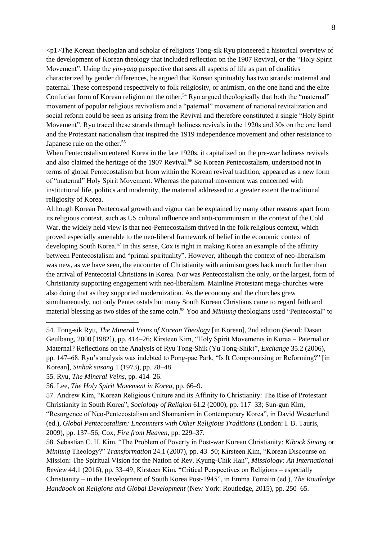$\langle p_1 \rangle$ The Korean theologian and scholar of religions Tong-sik Ryu pioneered a historical overview of the development of Korean theology that included reflection on the 1907 Revival, or the "Holy Spirit Movement". Using the *yin-yang* perspective that sees all aspects of life as part of dualities characterized by gender differences, he argued that Korean spirituality has two strands: maternal and paternal. These correspond respectively to folk religiosity, or animism, on the one hand and the elite Confucian form of Korean religion on the other.<sup>54</sup> Ryu argued theologically that both the "maternal" movement of popular religious revivalism and a "paternal" movement of national revitalization and social reform could be seen as arising from the Revival and therefore constituted a single "Holy Spirit Movement". Ryu traced these strands through holiness revivals in the 1920s and 30s on the one hand and the Protestant nationalism that inspired the 1919 independence movement and other resistance to Japanese rule on the other.<sup>55</sup>

When Pentecostalism entered Korea in the late 1920s, it capitalized on the pre-war holiness revivals and also claimed the heritage of the 1907 Revival.<sup>56</sup> So Korean Pentecostalism, understood not in terms of global Pentecostalism but from within the Korean revival tradition, appeared as a new form of "maternal" Holy Spirit Movement. Whereas the paternal movement was concerned with institutional life, politics and modernity, the maternal addressed to a greater extent the traditional religiosity of Korea.

Although Korean Pentecostal growth and vigour can be explained by many other reasons apart from its religious context, such as US cultural influence and anti-communism in the context of the Cold War, the widely held view is that neo-Pentecostalism thrived in the folk religious context, which proved especially amenable to the neo-liberal framework of belief in the economic context of developing South Korea.<sup>57</sup> In this sense, Cox is right in making Korea an example of the affinity between Pentecostalism and "primal spirituality". However, although the context of neo-liberalism was new, as we have seen, the encounter of Christianity with animism goes back much further than the arrival of Pentecostal Christians in Korea. Nor was Pentecostalism the only, or the largest, form of Christianity supporting engagement with neo-liberalism. Mainline Protestant mega-churches were also doing that as they supported modernization. As the economy and the churches grew simultaneously, not only Pentecostals but many South Korean Christians came to regard faith and material blessing as two sides of the same coin. <sup>58</sup> Yoo and *Minjung* theologians used "Pentecostal" to

<u>.</u>

57. Andrew Kim, "Korean Religious Culture and its Affinity to Christianity: The Rise of Protestant Christianity in South Korea", *Sociology of Religion* 61.2 (2000), pp. 117–33; Sun-gun Kim, "Resurgence of Neo-Pentecostalism and Shamanism in Contemporary Korea", in David Westerlund (ed.), *Global Pentecostalism: Encounters with Other Religious Traditions* (London: I. B. Tauris, 2009), pp. 137–56; Cox, *Fire from Heaven*, pp. 229–37.

58. Sebastian C. H. Kim, "The Problem of Poverty in Post-war Korean Christianity: *Kibock Sinang* or *Minjung* Theology?" *Transformation* 24.1 (2007), pp. 43–50; Kirsteen Kim, "Korean Discourse on Mission: The Spiritual Vision for the Nation of Rev. Kyung-Chik Han", *Missiology: An International Review* 44.1 (2016), pp. 33–49; Kirsteen Kim, "Critical Perspectives on Religions – especially Christianity – in the Development of South Korea Post-1945", in Emma Tomalin (ed.), *The Routledge Handbook on Religions and Global Development* (New York: Routledge, 2015), pp. 250–65.

<sup>54.</sup> Tong-sik Ryu, *The Mineral Veins of Korean Theology* [in Korean], 2nd edition (Seoul: Dasan Geulbang, 2000 [1982]), pp. 414–26; Kirsteen Kim, "Holy Spirit Movements in Korea – Paternal or Maternal? Reflections on the Analysis of Ryu Tong-Shik (Yu Tong-Shik)", *Exchange* 35.2 (2006), pp. 147–68. Ryu's analysis was indebted to Pong-pae Park, "Is It Compromising or Reforming?" [in Korean], *Sinhak sasang* 1 (1973), pp. 28–48.

<sup>55.</sup> Ryu, *The Mineral Veins*, pp. 414–26.

<sup>56.</sup> Lee, *The Holy Spirit Movement in Korea*, pp. 66–9.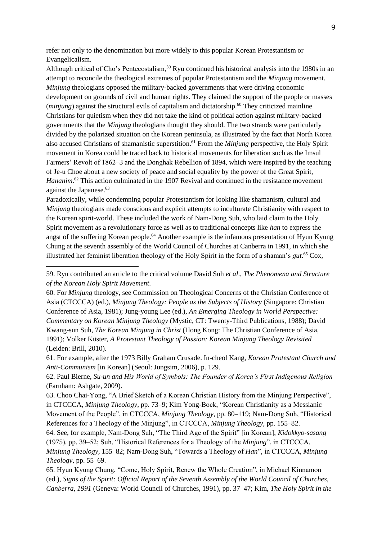refer not only to the denomination but more widely to this popular Korean Protestantism or Evangelicalism.

Although critical of Cho's Pentecostalism,<sup>59</sup> Ryu continued his historical analysis into the 1980s in an attempt to reconcile the theological extremes of popular Protestantism and the *Minjung* movement. *Minjung* theologians opposed the military-backed governments that were driving economic development on grounds of civil and human rights. They claimed the support of the people or masses (*minjung*) against the structural evils of capitalism and dictatorship.<sup>60</sup> They criticized mainline Christians for quietism when they did not take the kind of political action against military-backed governments that the *Minjung* theologians thought they should. The two strands were particularly divided by the polarized situation on the Korean peninsula, as illustrated by the fact that North Korea also accused Christians of shamanistic superstition. <sup>61</sup> From the *Minjung* perspective, the Holy Spirit movement in Korea could be traced back to historical movements for liberation such as the Imsul Farmers' Revolt of 1862–3 and the Donghak Rebellion of 1894, which were inspired by the teaching of Je-u Choe about a new society of peace and social equality by the power of the Great Spirit, Hananim.<sup>62</sup> This action culminated in the 1907 Revival and continued in the resistance movement against the Japanese.<sup>63</sup>

Paradoxically, while condemning popular Protestantism for looking like shamanism, cultural and *Minjung* theologians made conscious and explicit attempts to inculturate Christianity with respect to the Korean spirit-world. These included the work of Nam-Dong Suh, who laid claim to the Holy Spirit movement as a revolutionary force as well as to traditional concepts like *han* to express the angst of the suffering Korean people.<sup>64</sup> Another example is the infamous presentation of Hyun Kyung Chung at the seventh assembly of the World Council of Churches at Canberra in 1991, in which she illustrated her feminist liberation theology of the Holy Spirit in the form of a shaman's *gut*. <sup>65</sup> Cox,

<sup>59.</sup> Ryu contributed an article to the critical volume David Suh *et al*., *The Phenomena and Structure of the Korean Holy Spirit Movement*.

<sup>60.</sup> For *Minjung* theology, see Commission on Theological Concerns of the Christian Conference of Asia (CTCCCA) (ed.), *Minjung Theology: People as the Subjects of History* (Singapore: Christian Conference of Asia, 1981); Jung-young Lee (ed.), *An Emerging Theology in World Perspective: Commentary on Korean Minjung Theology* (Mystic, CT: Twenty-Third Publications, 1988); David Kwang-sun Suh, *The Korean Minjung in Christ* (Hong Kong: The Christian Conference of Asia, 1991); Volker Küster, *A Protestant Theology of Passion: Korean Minjung Theology Revisited* (Leiden: Brill, 2010).

<sup>61.</sup> For example, after the 1973 Billy Graham Crusade. In-cheol Kang, *Korean Protestant Church and Anti-Communism* [in Korean] (Seoul: Jungsim, 2006), p. 129.

<sup>62.</sup> Paul Bierne, *Su-un and His World of Symbols: The Founder of Korea's First Indigenous Religion* (Farnham: Ashgate, 2009).

<sup>63.</sup> Choo Chai-Yong, "A Brief Sketch of a Korean Christian History from the Minjung Perspective", in CTCCCA, *Minjung Theology*, pp. 73–9; Kim Yong-Bock, "Korean Christianity as a Messianic Movement of the People", in CTCCCA, *Minjung Theology*, pp. 80–119; Nam-Dong Suh, "Historical References for a Theology of the Minjung", in CTCCCA, *Minjung Theology*, pp. 155–82.

<sup>64.</sup> See, for example, Nam-Dong Suh, "The Third Age of the Spirit" [in Korean], *Kidokkyo-sasang* (1975), pp. 39–52; Suh, "Historical References for a Theology of the *Minjung*", in CTCCCA, *Minjung Theology*, 155–82; Nam-Dong Suh, "Towards a Theology of *Han*", in CTCCCA, *Minjung Theology*, pp. 55–69.

<sup>65.</sup> Hyun Kyung Chung, "Come, Holy Spirit, Renew the Whole Creation", in Michael Kinnamon (ed.), *Signs of the Spirit: Official Report of the Seventh Assembly of the World Council of Churches, Canberra, 1991* (Geneva: World Council of Churches, 1991), pp. 37–47; Kim, *The Holy Spirit in the*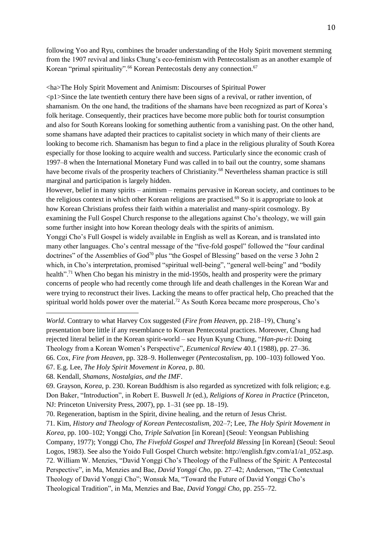following Yoo and Ryu, combines the broader understanding of the Holy Spirit movement stemming from the 1907 revival and links Chung's eco-feminism with Pentecostalism as an another example of Korean "primal spirituality".<sup>66</sup> Korean Pentecostals deny any connection.<sup>67</sup>

<ha>The Holy Spirit Movement and Animism: Discourses of Spiritual Power  $\langle \text{d} \rangle$  Since the late twentieth century there have been signs of a revival, or rather invention, of shamanism. On the one hand, the traditions of the shamans have been recognized as part of Korea's folk heritage. Consequently, their practices have become more public both for tourist consumption and also for South Koreans looking for something authentic from a vanishing past. On the other hand, some shamans have adapted their practices to capitalist society in which many of their clients are looking to become rich. Shamanism has begun to find a place in the religious plurality of South Korea especially for those looking to acquire wealth and success. Particularly since the economic crash of 1997–8 when the International Monetary Fund was called in to bail out the country, some shamans have become rivals of the prosperity teachers of Christianity.<sup>68</sup> Nevertheless shaman practice is still marginal and participation is largely hidden.

However, belief in many spirits – animism – remains pervasive in Korean society, and continues to be the religious context in which other Korean religions are practised.<sup>69</sup> So it is appropriate to look at how Korean Christians profess their faith within a materialist and many-spirit cosmology. By examining the Full Gospel Church response to the allegations against Cho's theology, we will gain some further insight into how Korean theology deals with the spirits of animism.

Yonggi Cho's Full Gospel is widely available in English as well as Korean, and is translated into many other languages. Cho's central message of the "five-fold gospel" followed the "four cardinal doctrines" of the Assemblies of God<sup>70</sup> plus "the Gospel of Blessing" based on the verse 3 John 2 which, in Cho's interpretation, promised "spiritual well-being", "general well-being" and "bodily health".<sup>71</sup> When Cho began his ministry in the mid-1950s, health and prosperity were the primary concerns of people who had recently come through life and death challenges in the Korean War and were trying to reconstruct their lives. Lacking the means to offer practical help, Cho preached that the spiritual world holds power over the material.<sup>72</sup> As South Korea became more prosperous, Cho's

*World*. Contrary to what Harvey Cox suggested (*Fire from Heaven*, pp. 218–19), Chung's presentation bore little if any resemblance to Korean Pentecostal practices. Moreover, Chung had rejected literal belief in the Korean spirit-world – see Hyun Kyung Chung, "*Han-pu-ri*: Doing Theology from a Korean Women's Perspective", *Ecumenical Review* 40.1 (1988), pp. 27–36. 66. Cox, *Fire from Heaven*, pp. 328–9. Hollenweger (*Pentecostalism*, pp. 100–103) followed Yoo.

<sup>67.</sup> E.g. Lee, *The Holy Spirit Movement in Korea*, p. 80.

<sup>68.</sup> Kendall, *Shamans, Nostalgias, and the IMF*.

<sup>69.</sup> Grayson, *Korea*, p. 230. Korean Buddhism is also regarded as syncretized with folk religion; e.g. Don Baker, "Introduction", in Robert E. Buswell Jr (ed.), *Religions of Korea in Practice* (Princeton, NJ: Princeton University Press, 2007), pp. 1–31 (see pp. 18–19).

<sup>70.</sup> Regeneration, baptism in the Spirit, divine healing, and the return of Jesus Christ.

<sup>71.</sup> Kim, *History and Theology of Korean Pentecostalism*, 202–7; Lee, *The Holy Spirit Movement in Korea*, pp. 100–102; Yonggi Cho, *Triple Salvation* [in Korean] (Seoul: Yeongsan Publishing Company, 1977); Yonggi Cho, *The Fivefold Gospel and Threefold Blessing* [in Korean] (Seoul: Seoul Logos, 1983). See also the Yoido Full Gospel Church website: http://english.fgtv.com/a1/a1\_052.asp. 72. William W. Menzies, "David Yonggi Cho's Theology of the Fullness of the Spirit: A Pentecostal Perspective", in Ma, Menzies and Bae, *David Yonggi Cho*, pp. 27–42; Anderson, "The Contextual Theology of David Yonggi Cho"; Wonsuk Ma, "Toward the Future of David Yonggi Cho's Theological Tradition", in Ma, Menzies and Bae, *David Yonggi Cho*, pp. 255–72.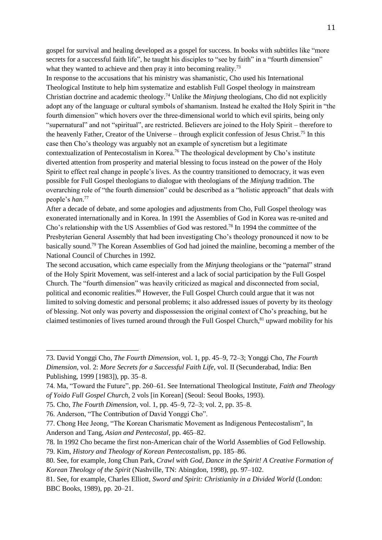gospel for survival and healing developed as a gospel for success. In books with subtitles like "more secrets for a successful faith life", he taught his disciples to "see by faith" in a "fourth dimension" what they wanted to achieve and then pray it into becoming reality.<sup>73</sup>

In response to the accusations that his ministry was shamanistic, Cho used his International Theological Institute to help him systematize and establish Full Gospel theology in mainstream Christian doctrine and academic theology.<sup>74</sup> Unlike the *Minjung* theologians, Cho did not explicitly adopt any of the language or cultural symbols of shamanism. Instead he exalted the Holy Spirit in "the fourth dimension" which hovers over the three-dimensional world to which evil spirits, being only "supernatural" and not "spiritual", are restricted. Believers are joined to the Holy Spirit – therefore to the heavenly Father, Creator of the Universe – through explicit confession of Jesus Christ.<sup>75</sup> In this case then Cho's theology was arguably not an example of syncretism but a legitimate contextualization of Pentecostalism in Korea.<sup>76</sup> The theological development by Cho's institute diverted attention from prosperity and material blessing to focus instead on the power of the Holy Spirit to effect real change in people's lives. As the country transitioned to democracy, it was even possible for Full Gospel theologians to dialogue with theologians of the *Minjung* tradition. The overarching role of "the fourth dimension" could be described as a "holistic approach" that deals with people's *han*. 77

After a decade of debate, and some apologies and adjustments from Cho, Full Gospel theology was exonerated internationally and in Korea. In 1991 the Assemblies of God in Korea was re-united and Cho's relationship with the US Assemblies of God was restored.<sup>78</sup> In 1994 the committee of the Presbyterian General Assembly that had been investigating Cho's theology pronounced it now to be basically sound. <sup>79</sup> The Korean Assemblies of God had joined the mainline, becoming a member of the National Council of Churches in 1992.

The second accusation, which came especially from the *Minjung* theologians or the "paternal" strand of the Holy Spirit Movement, was self-interest and a lack of social participation by the Full Gospel Church. The "fourth dimension" was heavily criticized as magical and disconnected from social, political and economic realities.<sup>80</sup> However, the Full Gospel Church could argue that it was not limited to solving domestic and personal problems; it also addressed issues of poverty by its theology of blessing. Not only was poverty and dispossession the original context of Cho's preaching, but he claimed testimonies of lives turned around through the Full Gospel Church,<sup>81</sup> upward mobility for his

<sup>73.</sup> David Yonggi Cho, *The Fourth Dimension*, vol. 1, pp. 45–9, 72–3; Yonggi Cho, *The Fourth Dimension*, vol. 2: *More Secrets for a Successful Faith Life*, vol. II (Secunderabad, India: Ben Publishing, 1999 [1983]), pp. 35–8.

<sup>74.</sup> Ma, "Toward the Future", pp. 260–61. See International Theological Institute, *Faith and Theology of Yoido Full Gospel Church*, 2 vols [in Korean] (Seoul: Seoul Books, 1993).

<sup>75.</sup> Cho, *The Fourth Dimension*, vol. 1, pp. 45–9, 72–3; vol. 2, pp. 35–8.

<sup>76.</sup> Anderson, "The Contribution of David Yonggi Cho".

<sup>77.</sup> Chong Hee Jeong, "The Korean Charismatic Movement as Indigenous Pentecostalism", In Anderson and Tang, *Asian and Pentecostal*, pp. 465–82.

<sup>78.</sup> In 1992 Cho became the first non-American chair of the World Assemblies of God Fellowship.

<sup>79.</sup> Kim, *History and Theology of Korean Pentecostalism*, pp. 185–86.

<sup>80.</sup> See, for example, Jong Chun Park, *Crawl with God, Dance in the Spirit! A Creative Formation of Korean Theology of the Spirit* (Nashville, TN: Abingdon, 1998), pp. 97–102.

<sup>81.</sup> See, for example, Charles Elliott, *Sword and Spirit: Christianity in a Divided World* (London: BBC Books, 1989), pp. 20–21.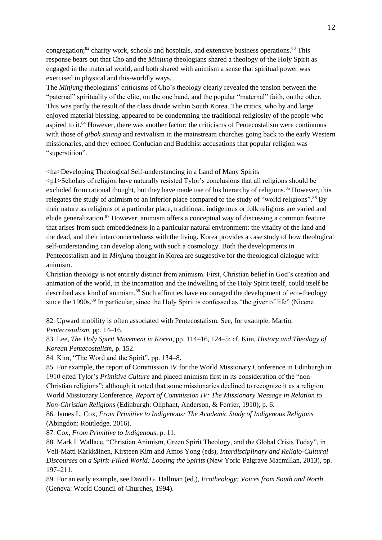congregation;<sup>82</sup> charity work, schools and hospitals, and extensive business operations.<sup>83</sup> This response bears out that Cho and the *Minjung* theologians shared a theology of the Holy Spirit as engaged in the material world, and both shared with animism a sense that spiritual power was exercised in physical and this-worldly ways.

The *Minjung* theologians' criticisms of Cho's theology clearly revealed the tension between the "paternal" spirituality of the elite, on the one hand, and the popular "maternal" faith, on the other. This was partly the result of the class divide within South Korea. The critics, who by and large enjoyed material blessing, appeared to be condemning the traditional religiosity of the people who aspired to it.<sup>84</sup> However, there was another factor: the criticisms of Pentecostalism were continuous with those of *gibok sinang* and revivalism in the mainstream churches going back to the early Western missionaries, and they echoed Confucian and Buddhist accusations that popular religion was "superstition".

<ha>Developing Theological Self-understanding in a Land of Many Spirits

 $\langle \text{p1>}$ Scholars of religion have naturally resisted Tylor's conclusions that all religions should be excluded from rational thought, but they have made use of his hierarchy of religions.<sup>85</sup> However, this relegates the study of animism to an inferior place compared to the study of "world religions".<sup>86</sup> By their nature as religions of a particular place, traditional, indigenous or folk religions are varied and elude generalization.<sup>87</sup> However, animism offers a conceptual way of discussing a common feature that arises from such embeddedness in a particular natural environment: the vitality of the land and the dead, and their interconnectedness with the living. Korea provides a case study of how theological self-understanding can develop along with such a cosmology. Both the developments in Pentecostalism and in *Minjung* thought in Korea are suggestive for the theological dialogue with animism.

Christian theology is not entirely distinct from animism. First, Christian belief in God's creation and animation of the world, in the incarnation and the indwelling of the Holy Spirit itself, could itself be described as a kind of animism.<sup>88</sup> Such affinities have encouraged the development of eco-theology since the 1990s.<sup>89</sup> In particular, since the Holy Spirit is confessed as "the giver of life" (Nicene

<sup>82.</sup> Upward mobility is often associated with Pentecostalism. See, for example, Martin, *Pentecostalism*, pp. 14–16.

<sup>83.</sup> Lee, *The Holy Spirit Movement in Korea*, pp. 114–16, 124–5; cf. Kim, *History and Theology of Korean Pentecostalism*, p. 152.

<sup>84.</sup> Kim, "The Word and the Spirit", pp. 134–8.

<sup>85.</sup> For example, the report of Commission IV for the World Missionary Conference in Edinburgh in 1910 cited Tylor's *Primitive Culture* and placed animism first in its consideration of the "non-Christian religions"; although it noted that some missionaries declined to recognize it as a religion. World Missionary Conference, *Report of Commission IV: The Missionary Message in Relation to Non-Christian Religions* (Edinburgh: Oliphant, Anderson, & Ferrier, 1910), p. 6.

<sup>86.</sup> James L. Cox, *From Primitive to Indigenous: The Academic Study of Indigenous Religions* (Abingdon: Routledge, 2016).

<sup>87.</sup> Cox, *From Primitive to Indigenous*, p. 11.

<sup>88.</sup> Mark I. Wallace, "Christian Animism, Green Spirit Theology, and the Global Crisis Today", in Veli-Matti Kärkkäinen, Kirsteen Kim and Amos Yong (eds), *Interdisciplinary and Religio-Cultural Discourses on a Spirit-Filled World: Loosing the Spirits* (New York: Palgrave Macmillan, 2013), pp. 197–211.

<sup>89.</sup> For an early example, see David G. Hallman (ed.), *Ecotheology: Voices from South and North* (Geneva: World Council of Churches, 1994).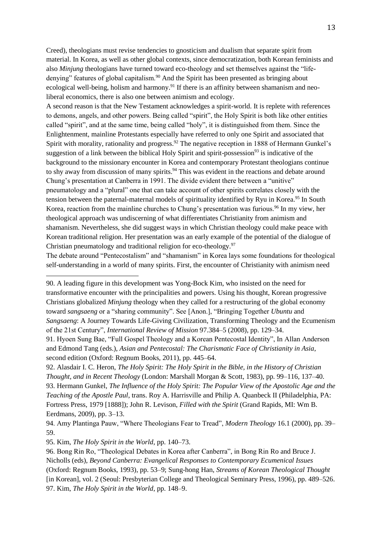Creed), theologians must revise tendencies to gnosticism and dualism that separate spirit from material. In Korea, as well as other global contexts, since democratization, both Korean feminists and also *Minjung* theologians have turned toward eco-theology and set themselves against the "lifedenying" features of global capitalism.<sup>90</sup> And the Spirit has been presented as bringing about ecological well-being, holism and harmony.<sup>91</sup> If there is an affinity between shamanism and neoliberal economics, there is also one between animism and ecology.

A second reason is that the New Testament acknowledges a spirit-world. It is replete with references to demons, angels, and other powers. Being called "spirit", the Holy Spirit is both like other entities called "spirit", and at the same time, being called "holy", it is distinguished from them. Since the Enlightenment, mainline Protestants especially have referred to only one Spirit and associated that Spirit with morality, rationality and progress.<sup>92</sup> The negative reception in 1888 of Hermann Gunkel's suggestion of a link between the biblical Holy Spirit and spirit-possession<sup>93</sup> is indicative of the background to the missionary encounter in Korea and contemporary Protestant theologians continue to shy away from discussion of many spirits.<sup>94</sup> This was evident in the reactions and debate around Chung's presentation at Canberra in 1991. The divide evident there between a "unitive" pneumatology and a "plural" one that can take account of other spirits correlates closely with the tension between the paternal-maternal models of spirituality identified by Ryu in Korea.<sup>95</sup> In South Korea, reaction from the mainline churches to Chung's presentation was furious.<sup>96</sup> In my view, her theological approach was undiscerning of what differentiates Christianity from animism and shamanism. Nevertheless, she did suggest ways in which Christian theology could make peace with Korean traditional religion. Her presentation was an early example of the potential of the dialogue of Christian pneumatology and traditional religion for eco-theology.<sup>97</sup>

The debate around "Pentecostalism" and "shamanism" in Korea lays some foundations for theological self-understanding in a world of many spirits. First, the encounter of Christianity with animism need

90. A leading figure in this development was Yong-Bock Kim, who insisted on the need for transformative encounter with the principalities and powers. Using his thought, Korean progressive Christians globalized *Minjung* theology when they called for a restructuring of the global economy toward *sangsaeng* or a "sharing community". See [Anon.], "Bringing Together *Ubuntu* and *Sangsaeng*: A Journey Towards Life-Giving Civilization, Transforming Theology and the Ecumenism of the 21st Century", *International Review of Mission* 97.384–5 (2008), pp. 129–34.

92. Alasdair I. C. Heron, *The Holy Spirit: The Holy Spirit in the Bible, in the History of Christian Thought, and in Recent Theology* (London: Marshall Morgan & Scott, 1983), pp. 99–116, 137–40. 93. Hermann Gunkel, *The Influence of the Holy Spirit: The Popular View of the Apostolic Age and the Teaching of the Apostle Paul*, trans. Roy A. Harrisville and Philip A. Quanbeck II (Philadelphia, PA: Fortress Press, 1979 [1888]); John R. Levison, *Filled with the Spirit* (Grand Rapids, MI: Wm B. Eerdmans, 2009), pp. 3–13.

<sup>91.</sup> Hyoen Sung Bae, "Full Gospel Theology and a Korean Pentecostal Identity", In Allan Anderson and Edmond Tang (eds.), *Asian and Pentecostal: The Charismatic Face of Christianity in Asia*, second edition (Oxford: Regnum Books, 2011), pp. 445–64.

<sup>94.</sup> Amy Plantinga Pauw, "Where Theologians Fear to Tread", *Modern Theology* 16.1 (2000), pp. 39– 59.

<sup>95.</sup> Kim, *The Holy Spirit in the World*, pp. 140–73.

<sup>96.</sup> Bong Rin Ro, "Theological Debates in Korea after Canberra", in Bong Rin Ro and Bruce J. Nicholls (eds), *Beyond Canberra: Evangelical Responses to Contemporary Ecumenical Issues* (Oxford: Regnum Books, 1993), pp. 53–9; Sung-hong Han, *Streams of Korean Theological Thought* [in Korean], vol. 2 (Seoul: Presbyterian College and Theological Seminary Press, 1996), pp. 489–526. 97. Kim, *The Holy Spirit in the World*, pp. 148–9.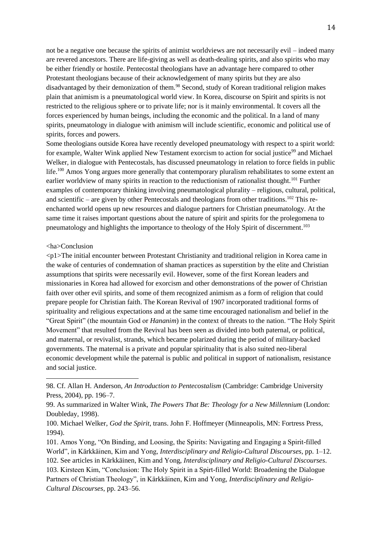not be a negative one because the spirits of animist worldviews are not necessarily evil – indeed many are revered ancestors. There are life-giving as well as death-dealing spirits, and also spirits who may be either friendly or hostile. Pentecostal theologians have an advantage here compared to other Protestant theologians because of their acknowledgement of many spirits but they are also disadvantaged by their demonization of them.<sup>98</sup> Second, study of Korean traditional religion makes plain that animism is a pneumatological world view. In Korea, discourse on Spirit and spirits is not restricted to the religious sphere or to private life; nor is it mainly environmental. It covers all the forces experienced by human beings, including the economic and the political. In a land of many spirits, pneumatology in dialogue with animism will include scientific, economic and political use of spirits, forces and powers.

Some theologians outside Korea have recently developed pneumatology with respect to a spirit world: for example. Walter Wink applied New Testament exorcism to action for social justice<sup>99</sup> and Michael Welker, in dialogue with Pentecostals, has discussed pneumatology in relation to force fields in public life.<sup>100</sup> Amos Yong argues more generally that contemporary pluralism rehabilitates to some extent an earlier worldview of many spirits in reaction to the reductionism of rationalist thought.<sup>101</sup> Further examples of contemporary thinking involving pneumatological plurality – religious, cultural, political, and scientific – are given by other Pentecostals and theologians from other traditions.<sup>102</sup> This reenchanted world opens up new resources and dialogue partners for Christian pneumatology. At the same time it raises important questions about the nature of spirit and spirits for the prolegomena to pneumatology and highlights the importance to theology of the Holy Spirit of discernment.<sup>103</sup>

### <ha>Conclusion

<u>.</u>

<p1>The initial encounter between Protestant Christianity and traditional religion in Korea came in the wake of centuries of condemnation of shaman practices as superstition by the elite and Christian assumptions that spirits were necessarily evil. However, some of the first Korean leaders and missionaries in Korea had allowed for exorcism and other demonstrations of the power of Christian faith over other evil spirits, and some of them recognized animism as a form of religion that could prepare people for Christian faith. The Korean Revival of 1907 incorporated traditional forms of spirituality and religious expectations and at the same time encouraged nationalism and belief in the "Great Spirit" (the mountain God or *Hananim*) in the context of threats to the nation. "The Holy Spirit Movement" that resulted from the Revival has been seen as divided into both paternal, or political, and maternal, or revivalist, strands, which became polarized during the period of military-backed governments. The maternal is a private and popular spirituality that is also suited neo-liberal economic development while the paternal is public and political in support of nationalism, resistance and social justice.

<sup>98.</sup> Cf. Allan H. Anderson, *An Introduction to Pentecostalism* (Cambridge: Cambridge University Press, 2004), pp. 196–7.

<sup>99.</sup> As summarized in Walter Wink, *The Powers That Be: Theology for a New Millennium* (London: Doubleday, 1998).

<sup>100.</sup> Michael Welker, *God the Spirit*, trans. John F. Hoffmeyer (Minneapolis, MN: Fortress Press, 1994).

<sup>101.</sup> Amos Yong, "On Binding, and Loosing, the Spirits: Navigating and Engaging a Spirit-filled World", in Kärkkäinen, Kim and Yong, *Interdisciplinary and Religio-Cultural Discourses*, pp. 1–12. 102. See articles in Kärkkäinen, Kim and Yong, *Interdisciplinary and Religio-Cultural Discourses*. 103. Kirsteen Kim, "Conclusion: The Holy Spirit in a Spirt-filled World: Broadening the Dialogue Partners of Christian Theology", in Kärkkäinen, Kim and Yong, *Interdisciplinary and Religio-Cultural Discourses*, pp. 243–56.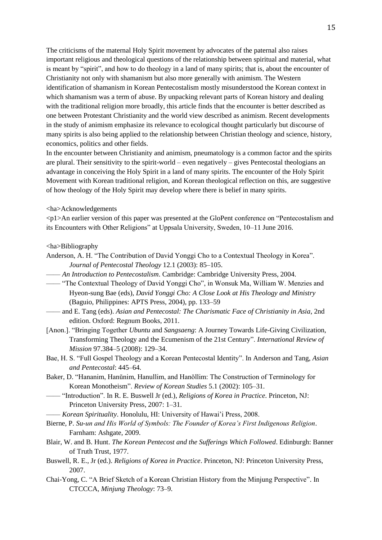The criticisms of the maternal Holy Spirit movement by advocates of the paternal also raises important religious and theological questions of the relationship between spiritual and material, what is meant by "spirit", and how to do theology in a land of many spirits; that is, about the encounter of Christianity not only with shamanism but also more generally with animism. The Western identification of shamanism in Korean Pentecostalism mostly misunderstood the Korean context in which shamanism was a term of abuse. By unpacking relevant parts of Korean history and dealing with the traditional religion more broadly, this article finds that the encounter is better described as one between Protestant Christianity and the world view described as animism. Recent developments in the study of animism emphasize its relevance to ecological thought particularly but discourse of many spirits is also being applied to the relationship between Christian theology and science, history, economics, politics and other fields.

In the encounter between Christianity and animism, pneumatology is a common factor and the spirits are plural. Their sensitivity to the spirit-world – even negatively – gives Pentecostal theologians an advantage in conceiving the Holy Spirit in a land of many spirits. The encounter of the Holy Spirit Movement with Korean traditional religion, and Korean theological reflection on this, are suggestive of how theology of the Holy Spirit may develop where there is belief in many spirits.

## <ha>Acknowledgements

<p1>An earlier version of this paper was presented at the GloPent conference on "Pentecostalism and its Encounters with Other Religions" at Uppsala University, Sweden, 10–11 June 2016.

### <ha>Bibliography

- Anderson, A. H. "The Contribution of David Yonggi Cho to a Contextual Theology in Korea". *Journal of Pentecostal Theology* 12.1 (2003): 85–105.
- —— *An Introduction to Pentecostalism*. Cambridge: Cambridge University Press, 2004.
- —— "The Contextual Theology of David Yonggi Cho", in Wonsuk Ma, William W. Menzies and Hyeon-sung Bae (eds), *David Yonggi Cho: A Close Look at His Theology and Ministry* (Baguio, Philippines: APTS Press, 2004), pp. 133–59
- —— and E. Tang (eds). *Asian and Pentecostal: The Charismatic Face of Christianity in Asia*, 2nd edition. Oxford: Regnum Books, 2011.
- [Anon.]. "Bringing Together *Ubuntu* and *Sangsaeng*: A Journey Towards Life-Giving Civilization, Transforming Theology and the Ecumenism of the 21st Century". *International Review of Mission* 97.384–5 (2008): 129–34.
- Bae, H. S. "Full Gospel Theology and a Korean Pentecostal Identity". In Anderson and Tang, *Asian and Pentecostal*: 445–64.
- Baker, D. "Hananim, Hanŭnim, Hanullim, and Hanŏllim: The Construction of Terminology for Korean Monotheism". *Review of Korean Studies* 5.1 (2002): 105–31.
- —— "Introduction". In R. E. Buswell Jr (ed.), *Religions of Korea in Practice*. Princeton, NJ: Princeton University Press, 2007: 1–31.
- —— *Korean Spirituality*. Honolulu, HI: University of Hawai'i Press, 2008.
- Bierne, P. *Su-un and His World of Symbols: The Founder of Korea's First Indigenous Religion*. Farnham: Ashgate, 2009.
- Blair, W. and B. Hunt. *The Korean Pentecost and the Sufferings Which Followed*. Edinburgh: Banner of Truth Trust, 1977.
- Buswell, R. E., Jr (ed.). *Religions of Korea in Practice*. Princeton, NJ: Princeton University Press, 2007.
- Chai-Yong, C. "A Brief Sketch of a Korean Christian History from the Minjung Perspective". In CTCCCA, *Minjung Theology*: 73–9.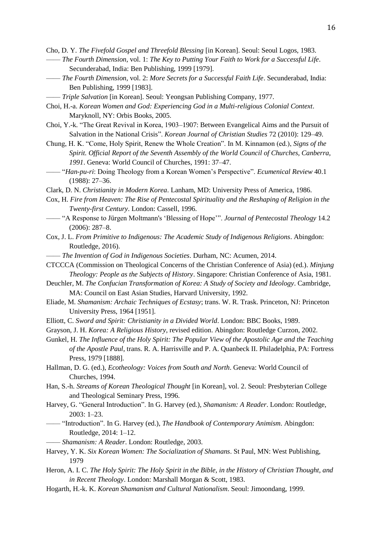Cho, D. Y. *The Fivefold Gospel and Threefold Blessing* [in Korean]. Seoul: Seoul Logos, 1983.

- —— *The Fourth Dimension*, vol. 1: *The Key to Putting Your Faith to Work for a Successful Life*. Secunderabad, India: Ben Publishing, 1999 [1979].
- —— *The Fourth Dimension*, vol. 2: *More Secrets for a Successful Faith Life*. Secunderabad, India: Ben Publishing, 1999 [1983].
- —— *Triple Salvation* [in Korean]. Seoul: Yeongsan Publishing Company, 1977.
- Choi, H.-a. *Korean Women and God: Experiencing God in a Multi-religious Colonial Context*. Maryknoll, NY: Orbis Books, 2005.
- Choi, Y.-k. "The Great Revival in Korea, 1903–1907: Between Evangelical Aims and the Pursuit of Salvation in the National Crisis". *Korean Journal of Christian Studies* 72 (2010): 129–49.
- Chung, H. K. "Come, Holy Spirit, Renew the Whole Creation". In M. Kinnamon (ed.), *Signs of the Spirit. Official Report of the Seventh Assembly of the World Council of Churches, Canberra, 1991*. Geneva: World Council of Churches, 1991: 37–47.
- —— "*Han-pu-ri*: Doing Theology from a Korean Women's Perspective". *Ecumenical Review* 40.1 (1988): 27–36.
- Clark, D. N. *Christianity in Modern Korea*. Lanham, MD: University Press of America, 1986.
- Cox, H. *Fire from Heaven: The Rise of Pentecostal Spirituality and the Reshaping of Religion in the Twenty-first Century*. London: Cassell, 1996.
- —— "A Response to Jürgen Moltmann's 'Blessing of Hope'". *Journal of Pentecostal Theology* 14.2 (2006): 287–8.
- Cox, J. L. *From Primitive to Indigenous: The Academic Study of Indigenous Religions*. Abingdon: Routledge, 2016).
- —— *The Invention of God in Indigenous Societies*. Durham, NC: Acumen, 2014.
- CTCCCA (Commission on Theological Concerns of the Christian Conference of Asia) (ed.). *Minjung Theology: People as the Subjects of History*. Singapore: Christian Conference of Asia, 1981.
- Deuchler, M. *The Confucian Transformation of Korea: A Study of Society and Ideology*. Cambridge, MA: Council on East Asian Studies, Harvard University, 1992.
- Eliade, M. *Shamanism: Archaic Techniques of Ecstasy*; trans. W. R. Trask. Princeton, NJ: Princeton University Press, 1964 [1951].
- Elliott, C. *Sword and Spirit: Christianity in a Divided World*. London: BBC Books, 1989.
- Grayson, J. H. *Korea: A Religious History*, revised edition. Abingdon: Routledge Curzon, 2002.
- Gunkel, H. *The Influence of the Holy Spirit: The Popular View of the Apostolic Age and the Teaching of the Apostle Paul*, trans. R. A. Harrisville and P. A. Quanbeck II. Philadelphia, PA: Fortress Press, 1979 [1888].
- Hallman, D. G. (ed.), *Ecotheology: Voices from South and North*. Geneva: World Council of Churches, 1994.
- Han, S.-h. *Streams of Korean Theological Thought* [in Korean], vol. 2. Seoul: Presbyterian College and Theological Seminary Press, 1996.
- Harvey, G. "General Introduction". In G. Harvey (ed.), *Shamanism: A Reader*. London: Routledge, 2003: 1–23.
- —— "Introduction". In G. Harvey (ed.), *The Handbook of Contemporary Animism*. Abingdon: Routledge, 2014: 1–12.
- —— *Shamanism: A Reader*. London: Routledge, 2003.
- Harvey, Y. K. *Six Korean Women: The Socialization of Shamans*. St Paul, MN: West Publishing, 1979
- Heron, A. I. C. *The Holy Spirit: The Holy Spirit in the Bible, in the History of Christian Thought, and in Recent Theology*. London: Marshall Morgan & Scott, 1983.
- Hogarth, H.-k. K. *Korean Shamanism and Cultural Nationalism*. Seoul: Jimoondang, 1999.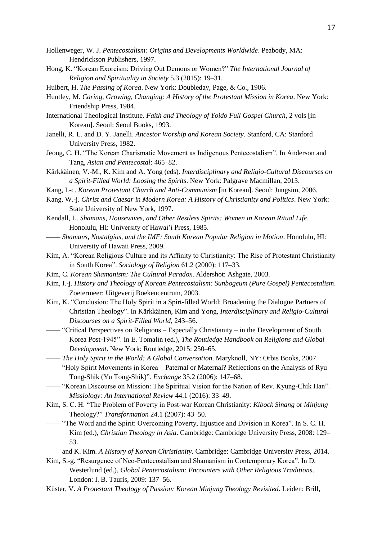- Hollenweger, W. J. *Pentecostalism: Origins and Developments Worldwide*. Peabody, MA: Hendrickson Publishers, 1997.
- Hong, K. "Korean Exorcism: Driving Out Demons or Women?" *The International Journal of Religion and Spirituality in Society* 5.3 (2015): 19–31.
- Hulbert, H. *The Passing of Korea*. New York: Doubleday, Page, & Co., 1906.
- Huntley, M. *Caring, Growing, Changing: A History of the Protestant Mission in Korea*. New York: Friendship Press, 1984.
- International Theological Institute. *Faith and Theology of Yoido Full Gospel Church*, 2 vols [in Korean]. Seoul: Seoul Books, 1993.
- Janelli, R. L. and D. Y. Janelli. *Ancestor Worship and Korean Society*. Stanford, CA: Stanford University Press, 1982.
- Jeong, C. H. "The Korean Charismatic Movement as Indigenous Pentecostalism". In Anderson and Tang, *Asian and Pentecostal*: 465–82.
- Kärkkäinen, V.-M., K. Kim and A. Yong (eds). *Interdisciplinary and Religio-Cultural Discourses on a Spirit-Filled World: Loosing the Spirits*. New York: Palgrave Macmillan, 2013.
- Kang, I.-c. *Korean Protestant Church and Anti-Communism* [in Korean]. Seoul: Jungsim, 2006.
- Kang, W.-j. *Christ and Caesar in Modern Korea: A History of Christianity and Politics*. New York: State University of New York, 1997.
- Kendall, L. *Shamans, Housewives, and Other Restless Spirits: Women in Korean Ritual Life*. Honolulu, HI: University of Hawai'i Press, 1985.
- —— *Shamans, Nostalgias, and the IMF: South Korean Popular Religion in Motion*. Honolulu, HI: University of Hawaii Press, 2009.
- Kim, A. "Korean Religious Culture and its Affinity to Christianity: The Rise of Protestant Christianity in South Korea". *Sociology of Religion* 61.2 (2000): 117–33.
- Kim, C. *Korean Shamanism: The Cultural Paradox*. Aldershot: Ashgate, 2003.
- Kim, I.-j. *History and Theology of Korean Pentecostalism: Sunbogeum (Pure Gospel) Pentecostalism*. Zoetermeer: Uitgeverij Boekencentrum, 2003.
- Kim, K. "Conclusion: The Holy Spirit in a Spirt-filled World: Broadening the Dialogue Partners of Christian Theology". In Kärkkäinen, Kim and Yong, *Interdisciplinary and Religio-Cultural Discourses on a Spirit-Filled World*, 243–56.
- —— "Critical Perspectives on Religions Especially Christianity in the Development of South Korea Post-1945". In E. Tomalin (ed.), *The Routledge Handbook on Religions and Global Development*. New York: Routledge, 2015: 250–65.
- —— *The Holy Spirit in the World: A Global Conversation*. Maryknoll, NY: Orbis Books, 2007.
- —— "Holy Spirit Movements in Korea Paternal or Maternal? Reflections on the Analysis of Ryu Tong-Shik (Yu Tong-Shik)". *Exchange* 35.2 (2006): 147–68.
- —— "Korean Discourse on Mission: The Spiritual Vision for the Nation of Rev. Kyung-Chik Han". *Missiology: An International Review* 44.1 (2016): 33–49.
- Kim, S. C. H. "The Problem of Poverty in Post-war Korean Christianity: *Kibock Sinang* or *Minjung* Theology?" *Transformation* 24.1 (2007): 43–50.
- —— "The Word and the Spirit: Overcoming Poverty, Injustice and Division in Korea". In S. C. H. Kim (ed.), *Christian Theology in Asia*. Cambridge: Cambridge University Press, 2008: 129– 53.
- —— and K. Kim. *A History of Korean Christianity*. Cambridge: Cambridge University Press, 2014.
- Kim, S.-g. "Resurgence of Neo-Pentecostalism and Shamanism in Contemporary Korea". In D. Westerlund (ed.), *Global Pentecostalism: Encounters with Other Religious Traditions*. London: I. B. Tauris, 2009: 137–56.
- Küster, V. *A Protestant Theology of Passion: Korean Minjung Theology Revisited*. Leiden: Brill,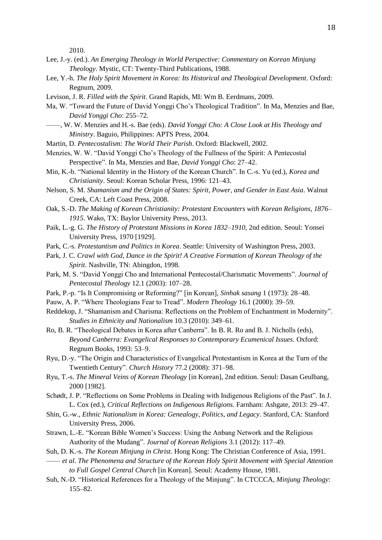2010.

- Lee, J.-y. (ed.). *An Emerging Theology in World Perspective: Commentary on Korean Minjung Theology*. Mystic, CT: Twenty-Third Publications, 1988.
- Lee, Y.-h. *The Holy Spirit Movement in Korea: Its Historical and Theological Development*. Oxford: Regnum, 2009.
- Levison, J. R. *Filled with the Spirit*. Grand Rapids, MI: Wm B. Eerdmans, 2009.
- Ma, W. "Toward the Future of David Yonggi Cho's Theological Tradition". In Ma, Menzies and Bae, *David Yonggi Cho*: 255–72.
- ——, W. W. Menzies and H.-s. Bae (eds). *David Yonggi Cho: A Close Look at His Theology and Ministry*. Baguio, Philippines: APTS Press, 2004.
- Martin, D. *Pentecostalism: The World Their Parish*. Oxford: Blackwell, 2002.
- Menzies, W. W. "David Yonggi Cho's Theology of the Fullness of the Spirit: A Pentecostal Perspective". In Ma, Menzies and Bae, *David Yonggi Cho*: 27–42.
- Min, K.-b. "National Identity in the History of the Korean Church". In C.-s. Yu (ed.), *Korea and Christianity*. Seoul: Korean Scholar Press, 1996: 121–43.
- Nelson, S. M. *Shamanism and the Origin of States: Spirit, Power, and Gender in East Asia*. Walnut Creek, CA: Left Coast Press, 2008.
- Oak, S.-D. *The Making of Korean Christianity: Protestant Encounters with Korean Religions, 1876– 1915*. Wako, TX: Baylor University Press, 2013.
- Paik, L.-g. G. *The History of Protestant Missions in Korea 1832–1910*, 2nd edition. Seoul: Yonsei University Press, 1970 [1929].
- Park, C.-s. *Protestantism and Politics in Korea*. Seattle: University of Washington Press, 2003.
- Park, J. C. *Crawl with God, Dance in the Spirit! A Creative Formation of Korean Theology of the Spirit*. Nashville, TN: Abingdon, 1998.
- Park, M. S. "David Yonggi Cho and International Pentecostal/Charismatic Movements". *Journal of Pentecostal Theology* 12.1 (2003): 107–28.
- Park, P.-p. "Is It Compromising or Reforming?" [in Korean], *Sinhak sasang* 1 (1973): 28–48.
- Pauw, A. P. "Where Theologians Fear to Tread". *Modern Theology* 16.1 (2000): 39–59.
- Reddekop, J. "Shamanism and Charisma: Reflections on the Problem of Enchantment in Modernity". *Studies in Ethnicity and Nationalism* 10.3 (2010): 349–61.
- Ro, B. R. "Theological Debates in Korea after Canberra". In B. R. Ro and B. J. Nicholls (eds), *Beyond Canberra: Evangelical Responses to Contemporary Ecumenical Issues*. Oxford: Regnum Books, 1993: 53–9.
- Ryu, D.-y. "The Origin and Characteristics of Evangelical Protestantism in Korea at the Turn of the Twentieth Century". *Church History* 77.2 (2008): 371–98.
- Ryu, T.-s. *The Mineral Veins of Korean Theology* [in Korean], 2nd edition. Seoul: Dasan Geulbang, 2000 [1982].
- Schødt, J. P. "Reflections on Some Problems in Dealing with Indigenous Religions of the Past". In J. L. Cox (ed.), *Critical Reflections on Indigenous Religions*. Farnham: Ashgate, 2013: 29–47.
- Shin, G.-w., *Ethnic Nationalism in Korea: Genealogy, Politics, and Legacy*. Stanford, CA: Stanford University Press, 2006.
- Strawn, L.-E. "Korean Bible Women's Success: Using the Anbang Network and the Religious Authority of the Mudang". *Journal of Korean Religions* 3.1 (2012): 117–49.
- Suh, D. K.-s. *The Korean Minjung in Christ*. Hong Kong: The Christian Conference of Asia, 1991.
- —— *et al*. *The Phenomena and Structure of the Korean Holy Spirit Movement with Special Attention to Full Gospel Central Church* [in Korean]. Seoul: Academy House, 1981.
- Suh, N.-D. "Historical References for a Theology of the Minjung". In CTCCCA, *Minjung Theology*: 155–82.